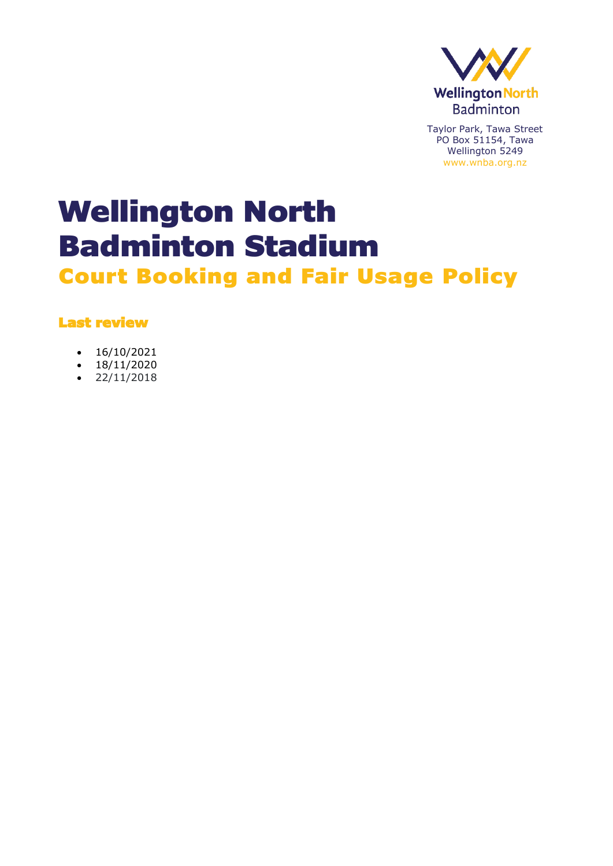

# Wellington North Badminton Stadium

Court Booking and Fair Usage Policy

### Last review

- 16/10/2021
- $18/11/2020$
- 22/11/2018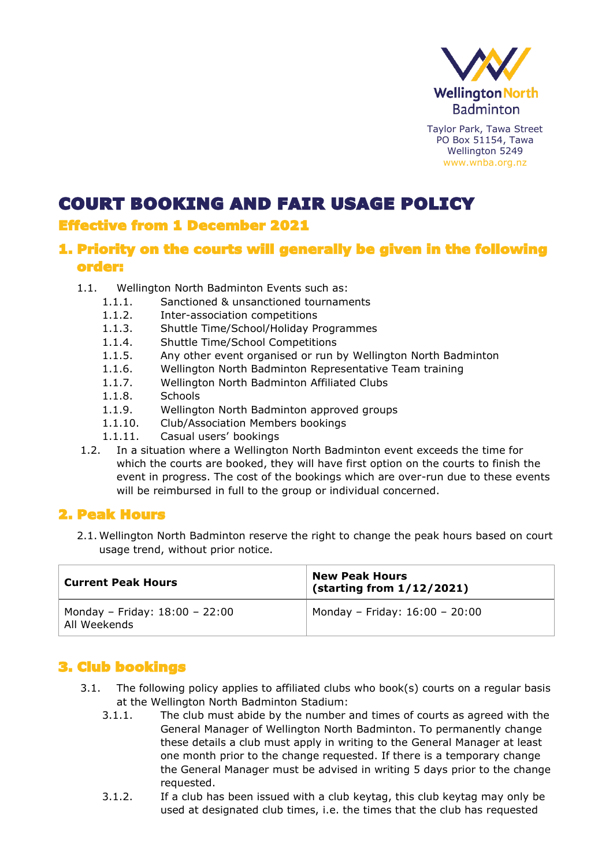

# COURT BOOKING AND FAIR USAGE POLICY

# Effective from 1 December 2021

## 1. Priority on the courts will generally be given in the following order:

- 1.1. Wellington North Badminton Events such as:
	- 1.1.1. Sanctioned & unsanctioned tournaments
	- 1.1.2. Inter-association competitions
	- 1.1.3. Shuttle Time/School/Holiday Programmes
	- 1.1.4. Shuttle Time/School Competitions
	- 1.1.5. Any other event organised or run by Wellington North Badminton
	- 1.1.6. Wellington North Badminton Representative Team training
	- 1.1.7. Wellington North Badminton Affiliated Clubs
	- 1.1.8. Schools
	- 1.1.9. Wellington North Badminton approved groups
	- 1.1.10. Club/Association Members bookings
	- 1.1.11. Casual users' bookings
- 1.2. In a situation where a Wellington North Badminton event exceeds the time for which the courts are booked, they will have first option on the courts to finish the event in progress. The cost of the bookings which are over-run due to these events will be reimbursed in full to the group or individual concerned.

# 2. Peak Hours

2.1. Wellington North Badminton reserve the right to change the peak hours based on court usage trend, without prior notice.

| <b>Current Peak Hours</b>                      | <b>New Peak Hours</b><br>(starting from 1/12/2021) |
|------------------------------------------------|----------------------------------------------------|
| Monday - Friday: 18:00 - 22:00<br>All Weekends | Monday - Friday: 16:00 - 20:00                     |

# 3. Club bookings

- 3.1. The following policy applies to affiliated clubs who book(s) courts on a regular basis at the Wellington North Badminton Stadium:
	- 3.1.1. The club must abide by the number and times of courts as agreed with the General Manager of Wellington North Badminton. To permanently change these details a club must apply in writing to the General Manager at least one month prior to the change requested. If there is a temporary change the General Manager must be advised in writing 5 days prior to the change requested.
	- 3.1.2. If a club has been issued with a club keytag, this club keytag may only be used at designated club times, i.e. the times that the club has requested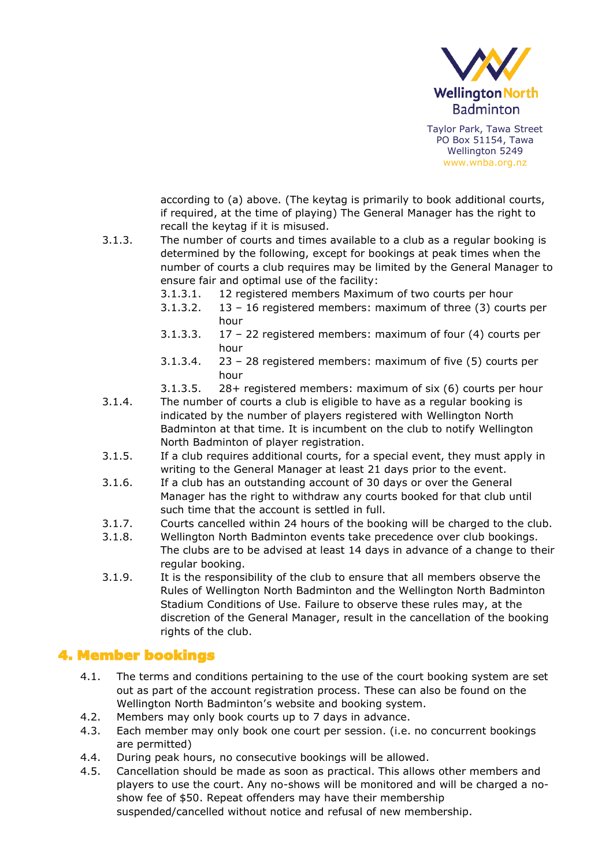

according to (a) above. (The keytag is primarily to book additional courts, if required, at the time of playing) The General Manager has the right to recall the keytag if it is misused.

- 3.1.3. The number of courts and times available to a club as a regular booking is determined by the following, except for bookings at peak times when the number of courts a club requires may be limited by the General Manager to ensure fair and optimal use of the facility:
	- 3.1.3.1. 12 registered members Maximum of two courts per hour
	- 3.1.3.2. 13 16 registered members: maximum of three (3) courts per hour
	- 3.1.3.3. 17 22 registered members: maximum of four (4) courts per hour
	- 3.1.3.4. 23 28 registered members: maximum of five (5) courts per hour
	- 3.1.3.5. 28+ registered members: maximum of six (6) courts per hour
- 3.1.4. The number of courts a club is eligible to have as a regular booking is indicated by the number of players registered with Wellington North Badminton at that time. It is incumbent on the club to notify Wellington North Badminton of player registration.
- 3.1.5. If a club requires additional courts, for a special event, they must apply in writing to the General Manager at least 21 days prior to the event.
- 3.1.6. If a club has an outstanding account of 30 days or over the General Manager has the right to withdraw any courts booked for that club until such time that the account is settled in full.
- 3.1.7. Courts cancelled within 24 hours of the booking will be charged to the club.
- 3.1.8. Wellington North Badminton events take precedence over club bookings. The clubs are to be advised at least 14 days in advance of a change to their regular booking.
- 3.1.9. It is the responsibility of the club to ensure that all members observe the Rules of Wellington North Badminton and the Wellington North Badminton Stadium Conditions of Use. Failure to observe these rules may, at the discretion of the General Manager, result in the cancellation of the booking rights of the club.

#### 4. Member bookings

- 4.1. The terms and conditions pertaining to the use of the court booking system are set out as part of the account registration process. These can also be found on the Wellington North Badminton's website and booking system.
- 4.2. Members may only book courts up to 7 days in advance.
- 4.3. Each member may only book one court per session. (i.e. no concurrent bookings are permitted)
- 4.4. During peak hours, no consecutive bookings will be allowed.
- 4.5. Cancellation should be made as soon as practical. This allows other members and players to use the court. Any no-shows will be monitored and will be charged a noshow fee of \$50. Repeat offenders may have their membership suspended/cancelled without notice and refusal of new membership.